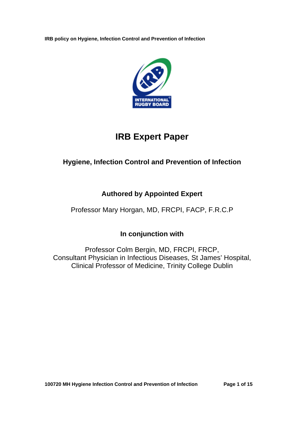

# **IRB Expert Paper**

## **Hygiene, Infection Control and Prevention of Infection**

## **Authored by Appointed Expert**

## Professor Mary Horgan, MD, FRCPI, FACP, F.R.C.P

## **In conjunction with**

Professor Colm Bergin, MD, FRCPI, FRCP, Consultant Physician in Infectious Diseases, St James' Hospital, Clinical Professor of Medicine, Trinity College Dublin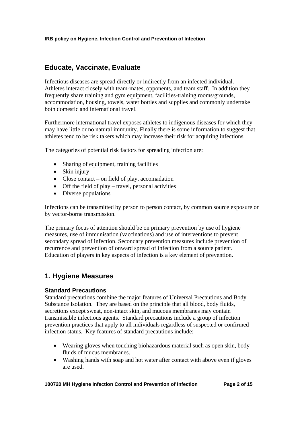## **Educate, Vaccinate, Evaluate**

Infectious diseases are spread directly or indirectly from an infected individual. Athletes interact closely with team-mates, opponents, and team staff. In addition they frequently share training and gym equipment, facilities-training rooms/grounds, accommodation, housing, towels, water bottles and supplies and commonly undertake both domestic and international travel.

Furthermore international travel exposes athletes to indigenous diseases for which they may have little or no natural immunity. Finally there is some information to suggest that athletes tend to be risk takers which may increase their risk for acquiring infections.

The categories of potential risk factors for spreading infection are:

- Sharing of equipment, training facilities
- Skin injury
- Close contact on field of play, accomadation
- Off the field of play travel, personal activities
- Diverse populations

Infections can be transmitted by person to person contact, by common source exposure or by vector-borne transmission.

The primary focus of attention should be on primary prevention by use of hygiene measures, use of immunisation (vaccinations) and use of interventions to prevent secondary spread of infection. Secondary prevention measures include prevention of recurrence and prevention of onward spread of infection from a source patient. Education of players in key aspects of infection is a key element of prevention.

## **1. Hygiene Measures**

### **Standard Precautions**

Standard precautions combine the major features of Universal Precautions and Body Substance Isolation. They are based on the principle that all blood, body fluids, secretions except sweat, non-intact skin, and mucous membranes may contain transmissible infectious agents. Standard precautions include a group of infection prevention practices that apply to all individuals regardless of suspected or confirmed infection status. Key features of standard precautions include:

- Wearing gloves when touching biohazardous material such as open skin, body fluids of mucus membranes.
- Washing hands with soap and hot water after contact with above even if gloves are used.

**100720 MH Hygiene Infection Control and Prevention of Infection Page 2 of 15**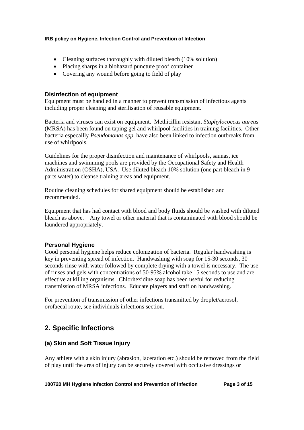- Cleaning surfaces thoroughly with diluted bleach (10% solution)
- Placing sharps in a biohazard puncture proof container
- Covering any wound before going to field of play

## **Disinfection of equipment**

Equipment must be handled in a manner to prevent transmission of infectious agents including proper cleaning and sterilisation of reusable equipment.

Bacteria and viruses can exist on equipment. Methicillin resistant *Staphylococcus aureus* (MRSA) has been found on taping gel and whirlpool facilities in training facilities. Other bacteria especailly *Pseudomonas spp*. have also been linked to infection outbreaks from use of whirlpools.

Guidelines for the proper disinfection and maintenance of whirlpools, saunas, ice machines and swimming pools are provided by the Occupational Safety and Health Administration (OSHA), USA. Use diluted bleach 10% solution (one part bleach in 9 parts water) to cleanse training areas and equipment.

Routine cleaning schedules for shared equipment should be established and recommended.

Equipment that has had contact with blood and body fluids should be washed with diluted bleach as above. Any towel or other material that is contaminated with blood should be laundered appropriately.

### **Personal Hygiene**

Good personal hygiene helps reduce colonization of bacteria. Regular handwashing is key in preventing spread of infection. Handwashing with soap for 15-30 seconds, 30 seconds rinse with water followed by complete drying with a towel is necessary. The use of rinses and gels with concentrations of 50-95% alcohol take 15 seconds to use and are effective at killing organisms. Chlorhexidine soap has been useful for reducing transmission of MRSA infections. Educate players and staff on handwashing.

For prevention of transmission of other infections transmitted by droplet/aerosol, orofaecal route, see individuals infections section.

## **2. Specific Infections**

## **(a) Skin and Soft Tissue Injury**

Any athlete with a skin injury (abrasion, laceration etc.) should be removed from the field of play until the area of injury can be securely covered with occlusive dressings or

#### **100720 MH Hygiene Infection Control and Prevention of Infection Page 3 of 15**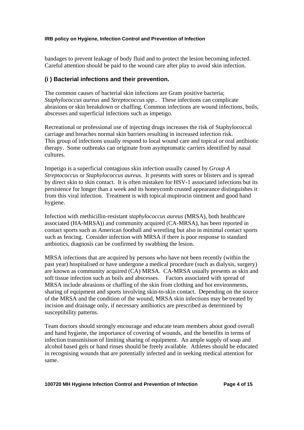bandages to prevent leakage of body fluid and to protect the lesion becoming infected. Careful attention should be paid to the wound care after play to avoid skin infection.

## **(i ) Bacterial infections and their prevention.**

The common causes of bacterial skin infections are Gram positive bacteria; *Staphylococcus aureus* and *Streptococcus spp*.. These infections can complicate abrasions or skin breakdown or chaffing. Common infections are wound infections, boils, abscesses and superficial infections such as impetigo.

Recreational or professional use of injecting drugs increases the risk of Staphylococcal carriage and breaches normal skin barriers resulting in increased infection risk. This group of infections usually respond to local wound care and topical or oral antibiotic therapy. Some outbreaks can originate from asymptomatic carriers identified by nasal cultures.

Impetigo is a superficial contagious skin infection usually caused by *Group A Streptococcus* or *Staphylococcus aureus*. It presents with sores or blisters and is spread by direct skin to skin contact. It is often mistaken for HSV-1 associated infections but its persistence for longer than a week and its honeycomb crusted appearance distinguishes it from this viral infection. Treatment is with topical mupirocin ointment and good hand hygiene.

Infection with methicillin-resistant *staphylococcus aureus* (MRSA), both healthcare associated (HA-MRSA)) and community acquired (CA-MRSA), has been reported in contact sports such as American football and wrestling but also in minimal contact sports such as fencing. Consider infection with MRSA if there is poor response to standard antbiotics, diagnosis can be confirmed by swabbing the lesion.

MRSA infections that are acquired by persons who have not been recently (within the past year) hospitalised or have undergone a medical procedure (such as dialysis, surgery) are known as community acquired (CA) MRSA. CA-MRSA usually presents as skin and soft tissue infection such as boils and abscesses. Factors associated with spread of MRSA include abrasions or chaffing of the skin from clothing and hot environments, sharing of equipment and sports involving skin-to-skin contact. Depending on the source of the MRSA and the condition of the wound, MRSA skin infections may be treated by incision and drainage only, if necessary antibiotics are prescribed as determined by susceptibility patterns.

Team doctors should strongly encourage and educate team members about good overall and hand hygiene, the importance of covering of wounds, and the beneifits in terms of infection transmisison of limiting sharing of equipment. An ample supply of soap and alcohol based gels or hand rinses should be freely available. Athletes should be educated in recognising wounds that are potentially infected and in seeking medical attention for same.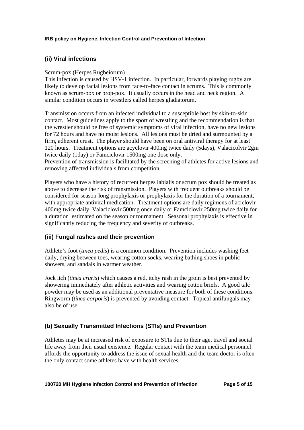## **(ii) Viral infections**

## Scrum-pox (Herpes Rugbeiorum)

This infection is caused by HSV-1 infection. In particular, forwards playing rugby are likely to develop facial lesions from face-to-face contact in scrums. This is commonly known as scrum-pox or prop-pox. It usually occurs in the head and neck region. A similar condition occurs in wrestlers called herpes gladiatorum.

Transmission occurs from an infected individual to a susceptible host by skin-to-skin contact. Most guidelines apply to the sport of wrestling and the recommendation is that the wrestler should be free of systemic symptoms of viral infection, have no new lesions for 72 hours and have no moist lesions. All lesions must be dried and surmounted by a firm, adherent crust. The player should have been on oral antiviral therapy for at least 120 hours. Treatment options are acyclovir 400mg twice daily (5days), Valacicolvir 2gm twice daily (1day) or Famciclovir 1500mg one dose only.

Prevention of transmission is facilitated by the screening of athletes for active lesions and removing affected individuals from competition.

Players who have a history of recurrent herpes labialis or scrum pox should be treated as above to decrease the risk of transmission. Players with frequent outbreaks should be considered for season-long prophylaxis or prophylaxis for the duration of a tournament, with appropriate antiviral medication. Treatment options are daily regimens of aciclovir 400mg twice daily, Valaciclovir 500mg once daily or Famciclovir 250mg twice daily for a duration estimated on the season or tournament. Seasonal prophylaxis is effective in significantly reducing the frequency and severity of outbreaks.

## **(iii) Fungal rashes and their prevention**

Athlete's foot (*tinea pedis*) is a common condition. Prevention includes washing feet daily, drying between toes, wearing cotton socks, wearing bathing shoes in public showers, and sandals in warmer weather.

Jock itch (*tinea cruris*) which causes a red, itchy rash in the groin is best prevented by showering immediately after athletic activities and wearing cotton briefs. A good talc powder may be used as an additional preventative measure for both of these conditions. Ringworm (*tinea corporis*) is prevented by avoiding contact. Topical antifungals may also be of use.

## **(b) Sexually Transmitted Infections (STIs) and Prevention**

Athletes may be at increased risk of exposure to STIs due to their age, travel and social life away from their usual existence. Regular contact with the team medical personnel affords the opportunity to address the issue of sexual health and the team doctor is often the only contact some athletes have with health services.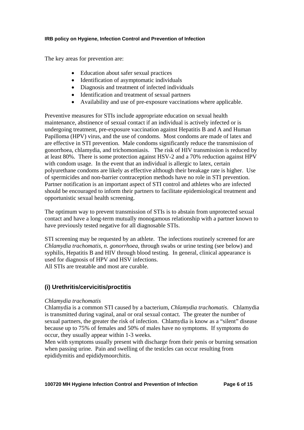The key areas for prevention are:

- Education about safer sexual practices
- Identification of asymptomatic individuals
- Diagnosis and treatment of infected individuals
- Identification and treatment of sexual partners
- Availability and use of pre-exposure vaccinations where applicable.

Preventive measures for STIs include appropriate education on sexual health maintenance, abstinence of sexual contact if an individual is actively infected or is undergoing treatment, pre-exposure vaccination against Hepatitis B and A and Human Papilloma (HPV) virus, and the use of condoms. Most condoms are made of latex and are effective in STI prevention. Male condoms significantly reduce the transmission of gonorrhoea, chlamydia, and trichomoniasis. The risk of HIV transmission is reduced by at least 80%. There is some protection against HSV-2 and a 70% reduction against HPV with condom usage. In the event that an individual is allergic to latex, certain polyurethane condoms are likely as effective although their breakage rate is higher. Use of spermicides and non-barrier contraception methods have no role in STI prevention. Partner notification is an important aspect of STI control and athletes who are infected should be encouraged to inform their partners to facilitate epidemiological treatment and opportunistic sexual health screening.

The optimum way to prevent transmission of STIs is to abstain from unprotected sexual contact and have a long-term mutually monogamous relationship with a partner known to have previously tested negative for all diagnosable STIs.

STI screening may be requested by an athlete. The infections routinely screened for are *Chlamydia trachomatis*, *n. gonorrhoea*, through swabs or urine testing (see below) and syphilis, Hepatitis B and HIV through blood testing. In general, clinical appearance is used for diagnosis of HPV and HSV infections. All STIs are treatable and most are curable.

## **(i) Urethritis/cervicitis/proctitis**

### *Chlamydia trachomatis*

Chlamydia is a common STI caused by a bacterium, *Chlamydia trachomatis*. Chlamydia is transmitted during vaginal, anal or oral sexual contact. The greater the number of sexual partners, the greater the risk of infection. Chlamydia is know as a "silent" disease because up to 75% of females and 50% of males have no symptoms. If symptoms do occur, they usually appear within 1-3 weeks.

Men with symptoms usually present with discharge from their penis or burning sensation when passing urine. Pain and swelling of the testicles can occur resulting from epididymitis and epididymoorchitis.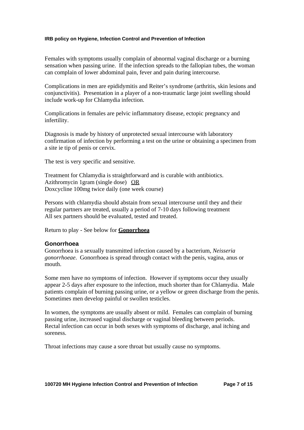Females with symptoms usually complain of abnormal vaginal discharge or a burning sensation when passing urine. If the infection spreads to the fallopian tubes, the woman can complain of lower abdominal pain, fever and pain during intercourse.

Complications in men are epididymitis and Reiter's syndrome (arthritis, skin lesions and conjunctivitis). Presentation in a player of a non-traumatic large joint swelling should include work-up for Chlamydia infection.

Complications in females are pelvic inflammatory disease, ectopic pregnancy and infertility.

Diagnosis is made by history of unprotected sexual intercourse with laboratory confirmation of infection by performing a test on the urine or obtaining a specimen from a site ie tip of penis or cervix.

The test is very specific and sensitive.

Treatment for Chlamydia is straightforward and is curable with antibiotics. Azithromycin 1gram (single dose) OR Doxcycline 100mg twice daily (one week course)

Persons with chlamydia should abstain from sexual intercourse until they and their regular partners are treated, usually a period of 7-10 days following treatment All sex partners should be evaluated, tested and treated.

Return to play - See below for **Gonorrhoea** 

#### **Gonorrhoea**

Gonorrhoea is a sexually transmitted infection caused by a bacterium, *Neisseria gonorrhoeae*. Gonorrhoea is spread through contact with the penis, vagina, anus or mouth.

Some men have no symptoms of infection. However if symptoms occur they usually appear 2-5 days after exposure to the infection, much shorter than for Chlamydia. Male patients complain of burning passing urine, or a yellow or green discharge from the penis. Sometimes men develop painful or swollen testicles.

In women, the symptoms are usually absent or mild. Females can complain of burning passing urine, increased vaginal discharge or vaginal bleeding between periods. Rectal infection can occur in both sexes with symptoms of discharge, anal itching and soreness.

Throat infections may cause a sore throat but usually cause no symptoms.

**100720 MH Hygiene Infection Control and Prevention of Infection Page 7 of 15**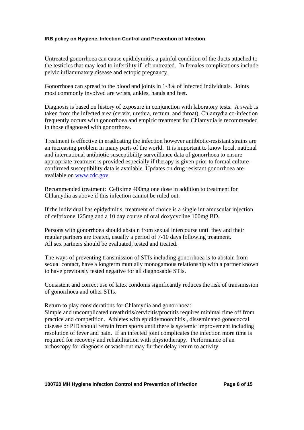Untreated gonorrhoea can cause epididymitis, a painful condition of the ducts attached to the testicles that may lead to infertility if left untreated. In females complications include pelvic inflammatory disease and ectopic pregnancy.

Gonorrhoea can spread to the blood and joints in 1-3% of infected individuals. Joints most commonly involved are wrists, ankles, hands and feet.

Diagnosis is based on history of exposure in conjunction with laboratory tests. A swab is taken from the infected area (cervix, urethra, rectum, and throat). Chlamydia co-infection frequently occurs with gonorrhoea and empiric treatment for Chlamydia is recommended in those diagnosed with gonorrhoea.

Treatment is effective in eradicating the infection however antibiotic-resistant strains are an increasing problem in many parts of the world. It is important to know local, national and international antibiotic susceptibility surveillance data of gonorrhoea to ensure appropriate treatment is provided especially if therapy is given prior to formal cultureconfirmed susceptibility data is available. Updates on drug resistant gonorrhoea are available on www.cdc.gov.

Recommended treatment: Cefixime 400mg one dose in addition to treatment for Chlamydia as above if this infection cannot be ruled out.

If the individual has epidydmitis, treatment of choice is a single intramuscular injection of ceftrixone 125mg and a 10 day course of oral doxycycline 100mg BD.

Persons with gonorrhoea should abstain from sexual intercourse until they and their regular partners are treated, usually a period of 7-10 days following treatment. All sex partners should be evaluated, tested and treated.

The ways of preventing transmission of STIs including gonorrhoea is to abstain from sexual contact, have a longterm mutually monogamous relationship with a partner known to have previously tested negative for all diagnosable STIs.

Consistent and correct use of latex condoms significantly reduces the risk of transmission of gonorrhoea and other STIs.

Return to play considerations for Chlamydia and gonorrhoea:

Simple and uncomplicated ureathritis/cervicitis/proctitis requires minimal time off from practice and competition. Athletes with epididymoorchitis , disseminated gonococcal disease or PID should refrain from sports until there is systemic improvement including resolution of fever and pain. If an infected joint complicates the infection more time is required for recovery and rehabilitation with physiotherapy. Performance of an arthoscopy for diagnosis or wash-out may further delay return to activity.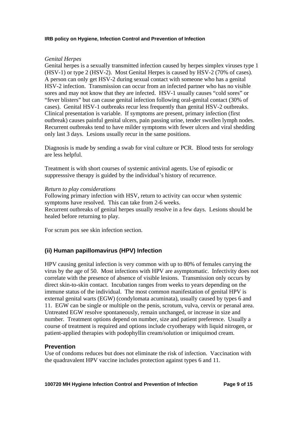#### *Genital Herpes*

Genital herpes is a sexually transmitted infection caused by herpes simplex viruses type 1 (HSV-1) or type 2 (HSV-2). Most Genital Herpes is caused by HSV-2 (70% of cases). A person can only get HSV-2 during sexual contact with someone who has a genital HSV-2 infection. Transmission can occur from an infected partner who has no visible sores and may not know that they are infected. HSV-1 usually causes "cold sores" or "fever blisters" but can cause genital infection following oral-genital contact (30% of cases). Genital HSV-1 outbreaks recur less frequently than genital HSV-2 outbreaks. Clinical presentation is variable. If symptoms are present, primary infection (first outbreak) causes painful genital ulcers, pain passing urine, tender swollen lymph nodes. Recurrent outbreaks tend to have milder symptoms with fewer ulcers and viral shedding only last 3 days. Lesions usually recur in the same positions.

Diagnosis is made by sending a swab for viral culture or PCR. Blood tests for serology are less helpful.

Treatment is with short courses of systemic antiviral agents. Use of episodic or suppresssive therapy is guided by the individual's history of recurrence.

#### *Return to play considerations*

Following primary infection with HSV, return to activity can occur when systemic symptoms have resolved. This can take from 2-6 weeks. Recurrent outbreaks of genital herpes usually resolve in a few days. Lesions should be healed before returning to play.

For scrum pox see skin infection section.

### **(ii) Human papillomavirus (HPV) Infection**

HPV causing genital infection is very common with up to 80% of females carrying the virus by the age of 50. Most infections with HPV are asymptomatic. Infectivity does not correlate with the presence of absence of visible lesions. Transmission only occurs by direct skin-to-skin contact. Incubation ranges from weeks to years depending on the immune status of the individual. The most common manifestation of genital HPV is external genital warts (EGW) (condylomata acuminata), usually caused by types 6 and 11. EGW can be single or multiple on the penis, scrotum, vulva, cervix or peranal area. Untreated EGW resolve spontaneously, remain unchanged, or increase in size and number. Treatment options depend on number, size and patient preference. Usually a course of treatment is required and options include cryotherapy with liquid nitrogen, or patient-applied therapies with podophyllin cream/solution or imiquimod cream.

### **Prevention**

Use of condoms reduces but does not eliminate the risk of infection. Vaccination with the quadravalent HPV vaccine includes protection against types 6 and 11.

**100720 MH Hygiene Infection Control and Prevention of Infection Page 9 of 15**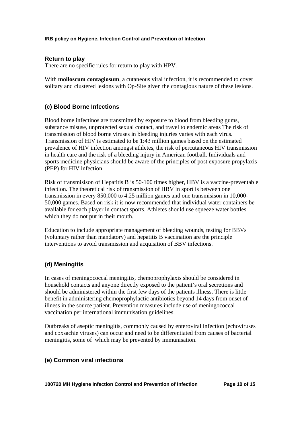### **Return to play**

There are no specific rules for return to play with HPV.

With **molloscum contagiosum**, a cutaneous viral infection, it is recommended to cover solitary and clustered lesions with Op-Site given the contagious nature of these lesions.

## **(c) Blood Borne Infections**

Blood borne infectinos are transmitted by exposure to blood from bleeding gums, substance misuse, unprotected sexual contact, and travel to endemic areas The risk of transmission of blood borne viruses in bleeding injuries varies with each virus. Transmission of HIV is estimated to be 1:43 million games based on the estimated prevalence of HIV infection amongst athletes, the risk of percutaneous HIV transmission in health care and the risk of a bleeding injury in American football. Individuals and sports medicine physicians should be aware of the principles of post exposure propylaxis (PEP) for HIV infection.

Risk of transmisison of Hepatitis B is 50-100 times higher, HBV is a vaccine-preventable infection. The theoretical risk of transmission of HBV in sport is between one transmission in every 850,000 to 4.25 million games and one transmisison in 10,000- 50,000 games. Based on risk it is now recommended that individual water containers be available for each player in contact sports. Athletes should use squeeze water bottles which they do not put in their mouth.

Education to include appropriate management of bleeding wounds, testing for BBVs (voluntary rather than mandatory) and hepatitis B vaccination are the principle interventions to avoid transmission and acquisition of BBV infections.

## **(d) Meningitis**

In cases of meningococcal meningitis, chemoprophylaxis should be considered in household contacts and anyone directly exposed to the patient's oral secretions and should be administered within the first few days of the patients illness. There is little benefit in administering chemoprophylactic antibiotics beyond 14 days from onset of illness in the source patient. Prevention measures include use of meningococcal vaccination per international immunisation guidelines.

Outbreaks of aseptic meningitis, commonly caused by enteroviral infection (echoviruses and coxsachie viruses) can occur and need to be differentiated from causes of bacterial meningitis, some of which may be prevented by immunisation.

## **(e) Common viral infections**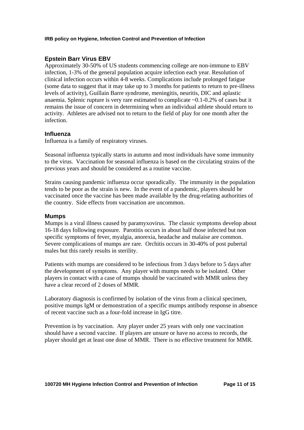### **Epstein Barr Virus EBV**

Approximately 30-50% of US students commencing college are non-immune to EBV infection, 1-3% of the general population acquire infection each year. Resolution of clinical infection occurs within 4-8 weeks. Complications include prolonged fatigue (some data to suggest that it may take up to 3 months for patients to return to pre-illness levels of activity), Guillain Barre syndrome, meningitis, neuritis, DIC and aplastic anaemia. Splenic rupture is very rare estimated to complicate ~0.1-0.2% of cases but it remains the issue of concern in determining when an individual athlete should return to activity. Athletes are advised not to return to the field of play for one month after the infection.

#### **Influenza**

Influenza is a family of respiratory viruses.

Seasonal influenza typically starts in autumn and most individuals have some immunity to the virus. Vaccination for seasonal influenza is based on the circulating strains of the previous years and should be considered as a routine vaccine.

Strains causing pandemic influenza occur sporadically. The immunity in the population tends to be poor as the strain is new. In the event of a pandemic, players should be vaccinated once the vaccine has been made available by the drug-relating authorities of the country. Side effects from vaccination are uncommon.

#### **Mumps**

Mumps is a viral illness caused by paramyxovirus. The classic symptoms develop about 16-18 days following exposure. Parotitis occurs in about half those infected but non specific symptoms of fever, myalgia, anorexia, headache and malaise are common. Severe complications of mumps are rare. Orchitis occurs in 30-40% of post pubertal males but this rarely results in sterility.

Patients with mumps are considered to be infectious from 3 days before to 5 days after the development of symptoms. Any player with mumps needs to be isolated. Other players in contact with a case of mumps should be vaccinated with MMR unless they have a clear record of 2 doses of MMR.

Laboratory diagnosis is confirmed by isolation of the virus from a clinical specimen, positive mumps IgM or demonstration of a specific mumps antibody response in absence of recent vaccine such as a four-fold increase in IgG titre.

Prevention is by vaccination. Any player under 25 years with only one vaccination should have a second vaccine. If players are unsure or have no access to records, the player should get at least one dose of MMR. There is no effective treatment for MMR.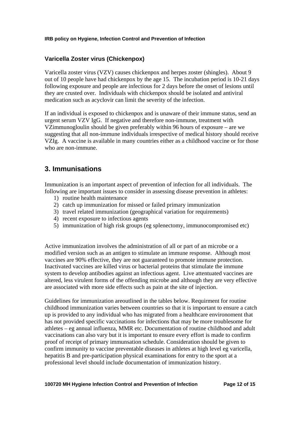## **Varicella Zoster virus (Chickenpox)**

Varicella zoster virus (VZV) causes chickenpox and herpes zoster (shingles). About 9 out of 10 people have had chickenpox by the age 15. The incubation period is 10-21 days following exposure and people are infectious for 2 days before the onset of lesions until they are crusted over. Individuals with chickenpox should be isolated and antiviral medication such as acyclovir can limit the severity of the infection.

If an individual is exposed to chickenpox and is unaware of their immune status, send an urgent serum VZV IgG. If negative and therefore non-immune, treatment with VZimmunogloulin should be given preferably within 96 hours of exposure – are we suggesting that all non-immune individuals irrespective of medical history should receive VZIg. A vaccine is available in many countries either as a childhood vaccine or for those who are non-immune.

## **3. Immunisations**

Immunization is an important aspect of prevention of infection for all individuals. The following are important issues to consider in assessing disease prevention in athletes:

- 1) routine health maintenance
- 2) catch up immunization for missed or failed primary immunization
- 3) travel related immunization (geographical variation for requirements)
- 4) recent exposure to infectious agents
- 5) immunization of high risk groups (eg splenectomy, immunocompromised etc)

Active immunization involves the administration of all or part of an microbe or a modified version such as an antigen to stimulate an immune response. Although most vaccines are 90% effective, they are not guaranteed to promote immune protection. Inactivated vaccines are killed virus or bacterial proteins that stimulate the immune system to develop antibodies against an infectious agent. Live attentuated vaccines are altered, less virulent forms of the offending microbe and although they are very effective are associated with more side effects such as pain at the site of injection.

Guidelines for immunization areoutlined in the tables below. Requirment for routine childhood immunization varies between countries so that it is important to ensure a catch up is provided to any individual who has migrated from a healthcare environoment that has not provided specific vaccinations for infections that may be more troublesome for athletes – eg annual influenza, MMR etc. Documentation of routine childhood and adult vaccinations can also vary but it is important to ensure every effort is made to confirm proof of receipt of primary immunsation schedule. Consideration should be given to confirm immunity to vaccine preventable diseases in athletes at high level eg varicella, hepatitis B and pre-participation physical examinations for entry to the sport at a professional level should include documentation of immunization history.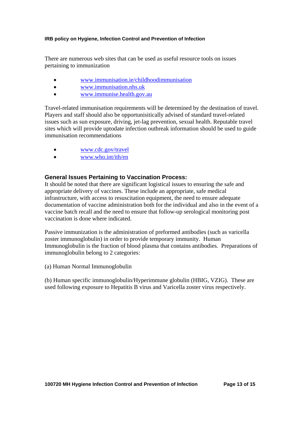There are numerous web sites that can be used as useful resource tools on issues pertaining to immunization

- www.immunisation.ie/childhoodimmunisation
- www.immunisation.nhs.uk
- www.immunise.health.gov.au

Travel-related immunisation requirements will be determined by the destination of travel. Players and staff should also be opportunisitically advised of standard travel-related issues such as sun exposure, driving, jet-lag prevention, sexual health. Reputable travel sites which will provide uptodate infection outbreak information should be used to guide immunisation recommendations

- www.cdc.gov/travel
- www.who.int/ith/en

## **General Issues Pertaining to Vaccination Process:**

It should be noted that there are significant logistical issues to ensuring the safe and appropriate delivery of vaccines. These include an appropriate, safe medical infrastructure, with access to resuscitation equipment, the need to ensure adequate documentation of vaccine administration both for the individual and also in the event of a vaccine batch recall and the need to ensure that follow-up serological monitoring post vaccination is done where indicated.

Passive immunization is the administration of preformed antibodies (such as varicella zoster immunoglobulin) in order to provide temporary immunity. Human Immunoglobulin is the fraction of blood plasma that contains antibodies. Preparations of immunoglobulin belong to 2 categories:

(a) Human Normal Immunoglobulin

(b) Human specific immunoglobulin/Hyperimmune globulin (HBIG, VZIG). These are used following exposure to Hepatitis B virus and Varicella zoster virus respectively.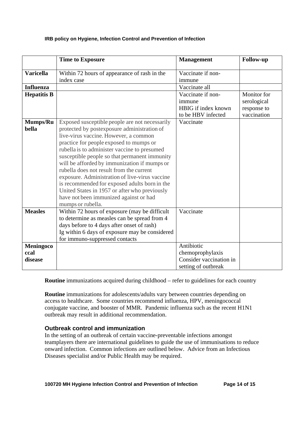|                              | <b>Time to Exposure</b>                                                                                                                                                                                                                                                                                                                                                                                                                                                                                                                                                                           | <b>Management</b>                                                                | <b>Follow-up</b>                                         |
|------------------------------|---------------------------------------------------------------------------------------------------------------------------------------------------------------------------------------------------------------------------------------------------------------------------------------------------------------------------------------------------------------------------------------------------------------------------------------------------------------------------------------------------------------------------------------------------------------------------------------------------|----------------------------------------------------------------------------------|----------------------------------------------------------|
| <b>Varicella</b>             | Within 72 hours of appearance of rash in the                                                                                                                                                                                                                                                                                                                                                                                                                                                                                                                                                      | Vaccinate if non-                                                                |                                                          |
|                              | index case                                                                                                                                                                                                                                                                                                                                                                                                                                                                                                                                                                                        | immune                                                                           |                                                          |
| <b>Influenza</b>             |                                                                                                                                                                                                                                                                                                                                                                                                                                                                                                                                                                                                   | Vaccinate all                                                                    |                                                          |
| <b>Hepatitis B</b>           |                                                                                                                                                                                                                                                                                                                                                                                                                                                                                                                                                                                                   | Vaccinate if non-<br>immune<br>HBIG if index known<br>to be HBV infected         | Monitor for<br>serological<br>response to<br>vaccination |
| Mumps/Ru<br>bella            | Exposed susceptible people are not necessarily<br>protected by postexposure administration of<br>live-virus vaccine. However, a common<br>practice for people exposed to mumps or<br>rubella is to administer vaccine to presumed<br>susceptible people so that permanent immunity<br>will be afforded by immunization if mumps or<br>rubella does not result from the current<br>exposure. Administration of live-virus vaccine<br>is recommended for exposed adults born in the<br>United States in 1957 or after who previously<br>have not been immunized against or had<br>mumps or rubella. | Vaccinate                                                                        |                                                          |
| <b>Measles</b>               | Within 72 hours of exposure (may be difficult<br>to determine as measles can be spread from 4<br>days before to 4 days after onset of rash)<br>Ig within 6 days of exposure may be considered<br>for immuno-suppressed contacts                                                                                                                                                                                                                                                                                                                                                                   | Vaccinate                                                                        |                                                          |
| Meningoco<br>ccal<br>disease |                                                                                                                                                                                                                                                                                                                                                                                                                                                                                                                                                                                                   | Antibiotic<br>chemoprophylaxis<br>Consider vaccination in<br>setting of outbreak |                                                          |

**Routine** immunizations acquired during childhood – refer to guidelines for each country

**Routine** immunizations for adolescents/adults vary between countries depending on access to healthcare. Some countries recommend influenza, HPV, meningococcal conjugate vaccine, and booster of MMR. Pandemic influenza such as the recent H1N1 outbreak may result in additional recommendation.

## **Outbreak control and immunization**

In the setting of an outbreak of certain vaccine-preventable infections amongst teamplayers there are international guidelines to guide the use of immunisations to reduce onward infection. Common infections are outlined below. Advice from an Infectious Diseases specialist and/or Public Health may be required.